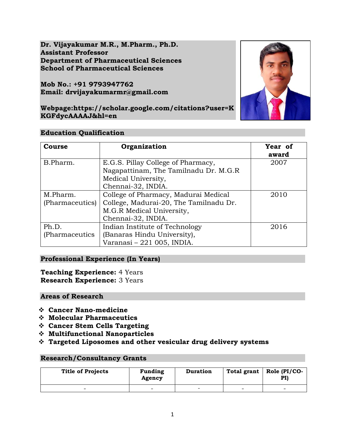**Dr. Vijayakumar M.R., M.Pharm., Ph.D. Assistant Professor Department of Pharmaceutical Sciences School of Pharmaceutical Sciences**

**Mob No.: +91 9793947762 Email: [drvijayakumarmr@gmail.com](mailto:drvijayakumarmr@gmail.com)**



## **Webpage:https://scholar.google.com/citations?user=K KGFdycAAAAJ&hl=en**

# **Education Qualification**

| Course                      | Organization                                                                                                                      | Year of<br>award |
|-----------------------------|-----------------------------------------------------------------------------------------------------------------------------------|------------------|
| B.Pharm.                    | E.G.S. Pillay College of Pharmacy,<br>Nagapattinam, The Tamilnadu Dr. M.G.R<br>Medical University,<br>Chennai-32, INDIA.          | 2007             |
| M.Pharm.<br>(Pharmaceutics) | College of Pharmacy, Madurai Medical<br>College, Madurai-20, The Tamilnadu Dr.<br>M.G.R Medical University,<br>Chennai-32, INDIA. | 2010             |
| Ph.D.<br>(Pharmaceutics)    | Indian Institute of Technology<br>(Banaras Hindu University),<br>Varanasi - 221 005, INDIA.                                       | 2016             |

# **Professional Experience (In Years)**

**Teaching Experience:** 4 Years **Research Experience:** 3 Years

# **Areas of Research**

- ❖ **Cancer Nano-medicine**
- ❖ **Molecular Pharmaceutics**
- ❖ **Cancer Stem Cells Targeting**
- ❖ **Multifunctional Nanoparticles**
- ❖ **Targeted Liposomes and other vesicular drug delivery systems**

# **Research/Consultancy Grants**

| <b>Title of Projects</b> | <b>Funding</b><br>Agency | <b>Duration</b> |                          | Total grant   Role (PI/CO-<br>PI) |
|--------------------------|--------------------------|-----------------|--------------------------|-----------------------------------|
| $\overline{\phantom{0}}$ | $\overline{\phantom{0}}$ | -               | $\overline{\phantom{0}}$ |                                   |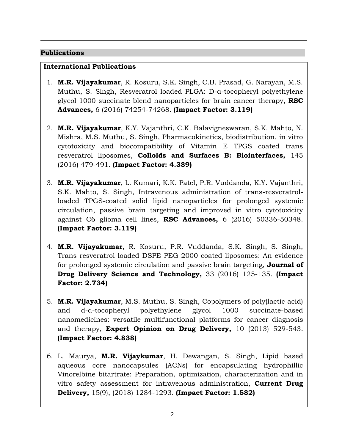# **Publications**

# **International Publications**

- 1. **M.R. Vijayakumar**, R. Kosuru, S.K. Singh, C.B. Prasad, G. Narayan, M.S. Muthu, S. Singh, Resveratrol loaded PLGA: D-α-tocopheryl polyethylene glycol 1000 succinate blend nanoparticles for brain cancer therapy, **RSC Advances,** 6 (2016) 74254-74268. **(Impact Factor: 3.119)**
- 2. **M.R. Vijayakumar**, K.Y. Vajanthri, C.K. Balavigneswaran, S.K. Mahto, N. Mishra, M.S. Muthu, S. Singh, Pharmacokinetics, biodistribution, in vitro cytotoxicity and biocompatibility of Vitamin E TPGS coated trans resveratrol liposomes, **Colloids and Surfaces B: Biointerfaces,** 145 (2016) 479-491. **(Impact Factor: 4.389)**
- 3. **M.R. Vijayakumar**, L. Kumari, K.K. Patel, P.R. Vuddanda, K.Y. Vajanthri, S.K. Mahto, S. Singh, Intravenous administration of trans-resveratrolloaded TPGS-coated solid lipid nanoparticles for prolonged systemic circulation, passive brain targeting and improved in vitro cytotoxicity against C6 glioma cell lines, **RSC Advances,** 6 (2016) 50336-50348. **(Impact Factor: 3.119)**
- 4. **M.R. Vijayakumar**, R. Kosuru, P.R. Vuddanda, S.K. Singh, S. Singh, Trans resveratrol loaded DSPE PEG 2000 coated liposomes: An evidence for prolonged systemic circulation and passive brain targeting, **Journal of Drug Delivery Science and Technology,** 33 (2016) 125-135. **(Impact Factor: 2.734)**
- 5. **M.R. Vijayakumar**, M.S. Muthu, S. Singh, Copolymers of poly(lactic acid) and d-α-tocopheryl polyethylene glycol 1000 succinate-based nanomedicines: versatile multifunctional platforms for cancer diagnosis and therapy, **Expert Opinion on Drug Delivery,** 10 (2013) 529-543. **(Impact Factor: 4.838)**
- 6. L. Maurya, **M.R. Vijaykumar**, H. Dewangan, S. Singh, Lipid based aqueous core nanocapsules (ACNs) for encapsulating hydrophillic Vinorelbine bitartrate: Preparation, optimization, characterization and in vitro safety assessment for intravenous administration, **Current Drug Delivery,** 15(9), (2018) 1284-1293. **(Impact Factor: 1.582)**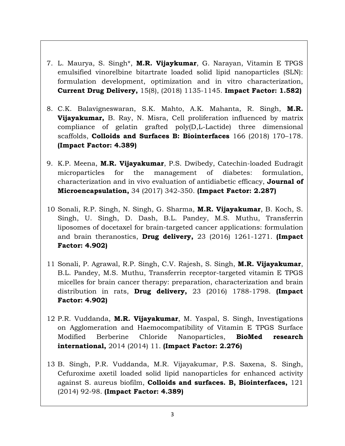- 7. L. Maurya, S. Singh\*, **M.R. Vijaykumar**, G. Narayan, Vitamin E TPGS emulsified vinorelbine bitartrate loaded solid lipid nanoparticles (SLN): formulation development, optimization and in vitro characterization, **Current Drug Delivery,** 15(8), (2018) 1135-1145. **Impact Factor: 1.582)**
- 8. C.K. Balavigneswaran, S.K. Mahto, A.K. Mahanta, R. Singh, **M.R. Vijayakumar,** B. Ray, N. Misra, Cell proliferation influenced by matrix compliance of gelatin grafted poly(D,L-Lactide) three dimensional scaffolds, **Colloids and Surfaces B: Biointerfaces** 166 (2018) 170–178. **(Impact Factor: 4.389)**
- 9. K.P. Meena, **M.R. Vijayakumar**, P.S. Dwibedy, Catechin-loaded Eudragit microparticles for the management of diabetes: formulation, characterization and in vivo evaluation of antidiabetic efficacy, **Journal of Microencapsulation,** 34 (2017) 342-350. **(Impact Factor: 2.287)**
- 10.Sonali, R.P. Singh, N. Singh, G. Sharma, **M.R. Vijayakumar**, B. Koch, S. Singh, U. Singh, D. Dash, B.L. Pandey, M.S. Muthu, Transferrin liposomes of docetaxel for brain-targeted cancer applications: formulation and brain theranostics, **Drug delivery,** 23 (2016) 1261-1271. **(Impact Factor: 4.902)**
- 11.Sonali, P. Agrawal, R.P. Singh, C.V. Rajesh, S. Singh, **M.R. Vijayakumar**, B.L. Pandey, M.S. Muthu, Transferrin receptor-targeted vitamin E TPGS micelles for brain cancer therapy: preparation, characterization and brain distribution in rats, **Drug delivery,** 23 (2016) 1788-1798. **(Impact Factor: 4.902)**
- 12.P.R. Vuddanda, **M.R. Vijayakumar**, M. Yaspal, S. Singh, Investigations on Agglomeration and Haemocompatibility of Vitamin E TPGS Surface Modified Berberine Chloride Nanoparticles, **BioMed research international,** 2014 (2014) 11. **(Impact Factor: 2.276)**
- 13.B. Singh, P.R. Vuddanda, M.R. Vijayakumar, P.S. Saxena, S. Singh, Cefuroxime axetil loaded solid lipid nanoparticles for enhanced activity against S. aureus biofilm, **Colloids and surfaces. B, Biointerfaces,** 121 (2014) 92-98. **(Impact Factor: 4.389)**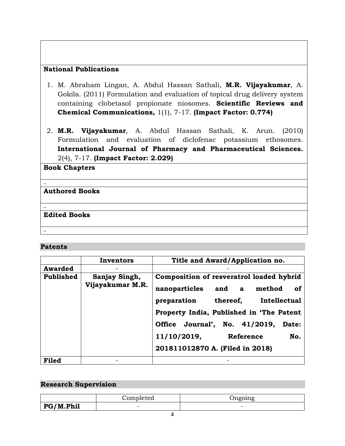# **National Publications**

- 1. M. Abraham Lingan, A. Abdul Hassan Sathali, **M.R. Vijayakumar**, A. Gokila. (2011) Formulation and evaluation of topical drug delivery system containing clobetasol propionate niosomes. **Scientific Reviews and Chemical Communications,** 1(1), 7-17. **(Impact Factor: 0.774)**
- 2. **M.R. Vijayakumar**, A. Abdul Hassan Sathali, K. Arun. (2010) Formulation and evaluation of diclofenac potassium ethosomes. **International Journal of Pharmacy and Pharmaceutical Sciences.**  2(4), 7-17. **(Impact Factor: 2.029)**

| <b>Book Chapters</b>  |  |
|-----------------------|--|
|                       |  |
|                       |  |
| <b>Authored Books</b> |  |
|                       |  |
|                       |  |
| <b>Edited Books</b>   |  |
|                       |  |
|                       |  |

### **Patents**

|                | Inventors        | Title and Award/Application no.          |
|----------------|------------------|------------------------------------------|
| <b>Awarded</b> |                  |                                          |
| Published      | Sanjay Singh,    | Composition of resveratrol loaded hybrid |
|                | Vijayakumar M.R. | nanoparticles and a method<br><b>of</b>  |
|                |                  | thereof, Intellectual<br>preparation     |
|                |                  | Property India, Published in 'The Patent |
|                |                  | Office Journal', No. 41/2019,<br>Date:   |
|                |                  | 11/10/2019, Reference<br>No.             |
|                |                  | 201811012870 A. (Filed in 2018)          |
| <b>Filed</b>   |                  |                                          |

## **Research Supervision**

|                                                      | $\cdot$ . $\sim$<br>$\overline{\phantom{a}}$<br>compictua | $\sim$                   |
|------------------------------------------------------|-----------------------------------------------------------|--------------------------|
| hil <sup>,</sup><br>בר<br>M<br>DC.<br>171. . L<br>-- | $\overline{\phantom{0}}$                                  | $\overline{\phantom{0}}$ |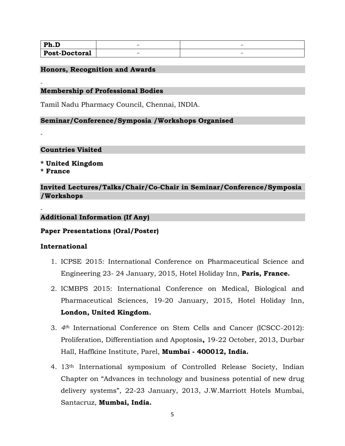| D1.<br>rn.u          | $\overline{\phantom{a}}$ |  |
|----------------------|--------------------------|--|
| <b>Post-Doctoral</b> | $\overline{\phantom{a}}$ |  |

#### **Honors, Recognition and Awards**

#### **Membership of Professional Bodies**

Tamil Nadu Pharmacy Council, Chennai, INDIA.

#### **Seminar/Conference/Symposia /Workshops Organised**

#### **Countries Visited**

-

-

-

**\* United Kingdom \* France**

**Invited Lectures/Talks/Chair/Co-Chair in Seminar/Conference/Symposia /Workshops**

#### **Additional Information (If Any)**

### **Paper Presentations (Oral/Poster)**

### **International**

- 1. ICPSE 2015: International Conference on Pharmaceutical Science and Engineering 23- 24 January, 2015, Hotel Holiday Inn, **Paris, France.**
- 2. ICMBPS 2015: International Conference on Medical, Biological and Pharmaceutical Sciences, 19-20 January, 2015, Hotel Holiday Inn, **London, United Kingdom.**
- 3. *4th* International Conference on Stem Cells and Cancer (ICSCC-2012): Proliferation, Differentiation and Apoptosis**,** 19-22 October, 2013, Durbar Hall, Haffkine Institute, Parel, **Mumbai - 400012, India.**
- 4. 13th International symposium of Controlled Release Society, Indian Chapter on "Advances in technology and business potential of new drug delivery systems", 22-23 January, 2013, J.W.Marriott Hotels Mumbai, Santacruz, **Mumbai, India.**